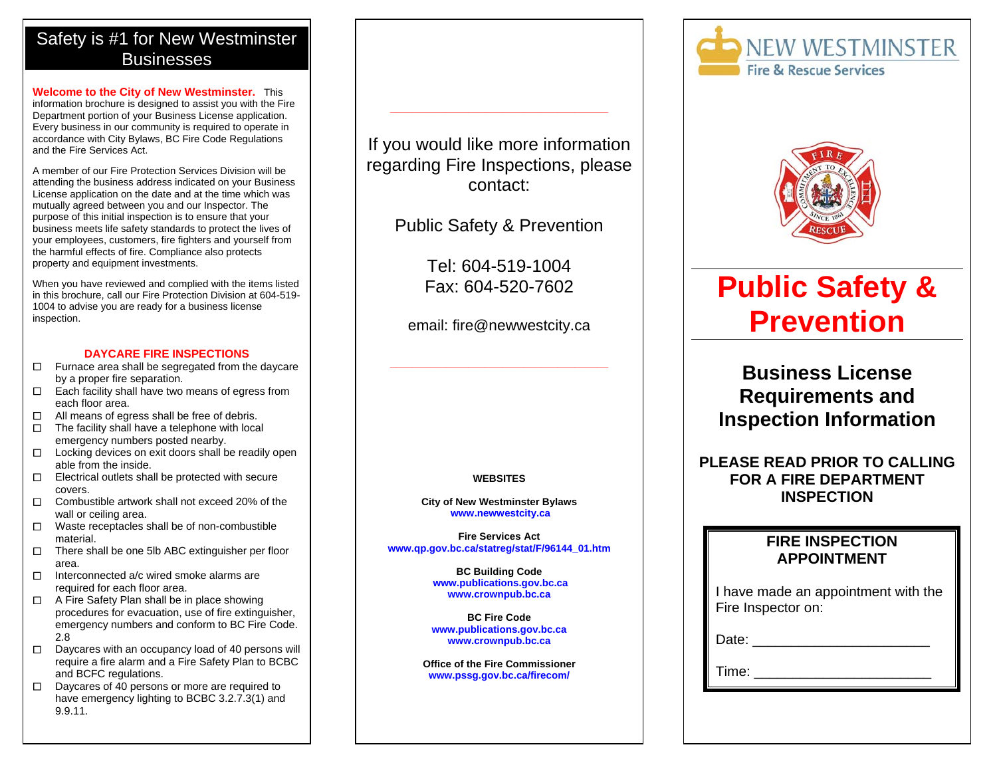## Safety is #1 for New Westminster **Businesses**

**Welcome to the City of New Westminster.** This information brochure is designed to assist you with the Fire Department portion of your Business License application. Every business in our community is required to operate in accordance with City Bylaws, BC Fire Code Regulations and the Fire Services Act.

A member of our Fire Protection Services Division will be attending the business address indicated on your Business License application on the date and at the time which was mutually agreed between you and our Inspector. The purpose of this initial inspection is to ensure that your business meets life safety standards to protect the lives of your employees, customers, fire fighters and yourself from the harmful effects of fire. Compliance also protects property and equipment investments.

When you have reviewed and complied with the items listed in this brochure, call our Fire Protection Division at 604-519- 1004 to advise you are ready for a business license inspection.

#### **DAYCARE FIRE INSPECTIONS**

- $\Box$  Furnace area shall be segregated from the daycare by a proper fire separation.
- $\Box$  Each facility shall have two means of egress from each floor area.
- $\Box$  All means of egress shall be free of debris.  $\Box$
- $\Box$  The facility shall have a telephone with local emergency numbers posted nearby.
- $\Box$  Locking devices on exit doors shall be readily open able from the inside.
- $\square$  Electrical outlets shall be protected with secure  $\Box$ covers.
- $\Box$  Combustible artwork shall not exceed 20% of the wall or ceiling area.
- $\Box$  Waste receptacles shall be of non-combustible material.
- $\Box$  There shall be one 5lb ABC extinguisher per floor area.
- $\Box$  Interconnected a/c wired smoke alarms are required for each floor area.
- □ A Fire Safety Plan shall be in place showing procedures for evacuation, use of fire extinguisher, emergency numbers and conform to BC Fire Code. 2.8
- $\Box$  Daycares with an occupancy load of 40 persons will require a fire alarm and a Fire Safety Plan to BCBC and BCFC regulations.
- $\Box$  Daycares of 40 persons or more are required to have emergency lighting to BCBC 3.2.7.3(1) and 9.9.11.

If you would like more information regarding Fire Inspections, please contact:

**\_\_\_\_\_\_\_\_\_\_\_\_\_\_\_\_\_\_\_\_\_\_\_\_\_\_\_\_\_\_\_\_\_\_\_\_\_\_\_** 

Public Safety & Prevention

Tel: 604-519-1004 Fax: 604-520-7602

email: fire@newwestcity.ca

### **WEBSITES**

**City of New Westminster Bylaws www.newwestcity.ca**

**Fire Services Act www.qp.gov.bc.ca/statreg/stat/F/96144\_01.htm**

> **BC Building Code www.publications.gov.bc.ca www.crownpub.bc.ca**

**BC Fire Code www.publications.gov.bc.ca www.crownpub.bc.ca**

**Office of the Fire Commissioner www.pssg.gov.bc.ca/firecom/**





# **Public Safety & Prevention**

## **Business License Requirements and Inspection Information**

## **PLEASE READ PRIOR TO CALLING FOR A FIRE DEPARTMENT INSPECTION**

## **FIRE INSPECTION APPOINTMENT**

| I have made an appointment with the |  |
|-------------------------------------|--|
| Fire Inspector on:                  |  |

Date: \_\_\_\_\_\_\_\_\_\_\_\_\_\_\_\_\_\_\_\_\_\_\_

Time: \_\_\_\_\_\_\_\_\_\_\_\_\_\_\_\_\_\_\_\_\_\_\_